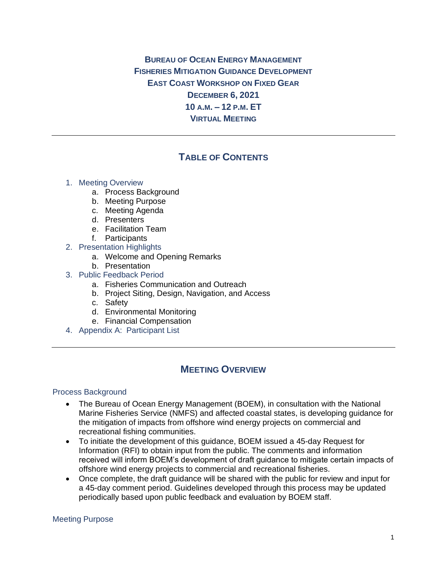**BUREAU OF OCEAN ENERGY MANAGEMENT FISHERIES MITIGATION GUIDANCE DEVELOPMENT EAST COAST WORKSHOP ON FIXED GEAR DECEMBER 6, 2021 10 A.M. – 12 P.M. ET VIRTUAL MEETING**

# **TABLE OF CONTENTS**

### 1. Meeting Overview

- a. Process Background
- b. Meeting Purpose
- c. Meeting Agenda
- d. Presenters
- e. Facilitation Team
- f. Participants
- 2. Presentation Highlights
	- a. Welcome and Opening Remarks
	- b. Presentation
- 3. Public Feedback Period
	- a. Fisheries Communication and Outreach
	- b. Project Siting, Design, Navigation, and Access
	- c. Safety
	- d. Environmental Monitoring
	- e. Financial Compensation
- 4. Appendix A: Participant List

# **MEETING OVERVIEW**

### Process Background

- The Bureau of Ocean Energy Management (BOEM), in consultation with the National Marine Fisheries Service (NMFS) and affected coastal states, is developing guidance for the mitigation of impacts from offshore wind energy projects on commercial and recreational fishing communities.
- To initiate the development of this guidance, BOEM issued a 45-day Request for Information (RFI) to obtain input from the public. The comments and information received will inform BOEM's development of draft guidance to mitigate certain impacts of offshore wind energy projects to commercial and recreational fisheries.
- Once complete, the draft guidance will be shared with the public for review and input for a 45-day comment period. Guidelines developed through this process may be updated periodically based upon public feedback and evaluation by BOEM staff.

### Meeting Purpose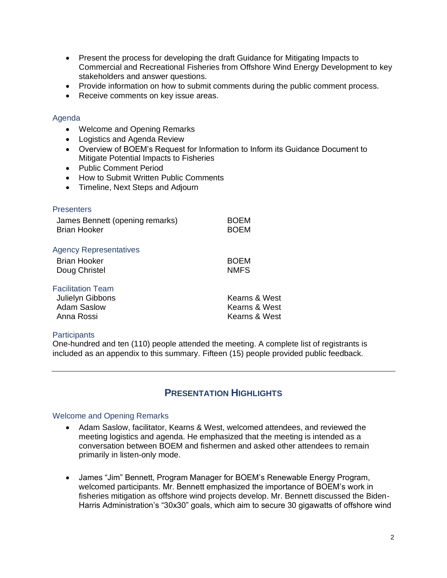- Present the process for developing the draft Guidance for Mitigating Impacts to Commercial and Recreational Fisheries from Offshore Wind Energy Development to key stakeholders and answer questions.
- Provide information on how to submit comments during the public comment process.
- Receive comments on key issue areas.

## Agenda

- Welcome and Opening Remarks
- Logistics and Agenda Review
- Overview of BOEM's Request for Information to Inform its Guidance Document to Mitigate Potential Impacts to Fisheries
- Public Comment Period
- How to Submit Written Public Comments
- Timeline, Next Steps and Adjourn

| <b>Presenters</b>               |               |
|---------------------------------|---------------|
| James Bennett (opening remarks) | BOEM          |
| <b>Brian Hooker</b>             | <b>BOEM</b>   |
| <b>Agency Representatives</b>   |               |
| Brian Hooker                    | <b>BOEM</b>   |
| Doug Christel                   | <b>NMFS</b>   |
| <b>Facilitation Team</b>        |               |
| Julielyn Gibbons                | Kearns & West |
| <b>Adam Saslow</b>              | Kearns & West |
| Anna Rossi                      | Kearns & West |

### **Participants**

One-hundred and ten (110) people attended the meeting. A complete list of registrants is included as an appendix to this summary. Fifteen (15) people provided public feedback.

# **PRESENTATION HIGHLIGHTS**

### Welcome and Opening Remarks

- Adam Saslow, facilitator, Kearns & West, welcomed attendees, and reviewed the meeting logistics and agenda. He emphasized that the meeting is intended as a conversation between BOEM and fishermen and asked other attendees to remain primarily in listen-only mode.
- James "Jim" Bennett, Program Manager for BOEM's Renewable Energy Program, welcomed participants. Mr. Bennett emphasized the importance of BOEM's work in fisheries mitigation as offshore wind projects develop. Mr. Bennett discussed the Biden-Harris Administration's "30x30" goals, which aim to secure 30 gigawatts of offshore wind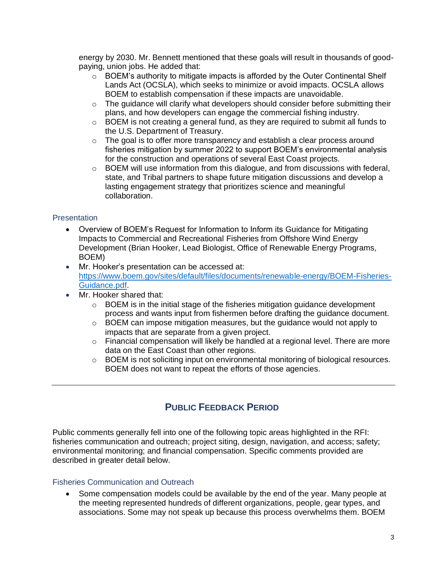energy by 2030. Mr. Bennett mentioned that these goals will result in thousands of goodpaying, union jobs. He added that:

- $\circ$  BOEM's authority to mitigate impacts is afforded by the Outer Continental Shelf Lands Act (OCSLA), which seeks to minimize or avoid impacts. OCSLA allows BOEM to establish compensation if these impacts are unavoidable.
- $\circ$  The quidance will clarify what developers should consider before submitting their plans, and how developers can engage the commercial fishing industry.
- $\circ$  BOEM is not creating a general fund, as they are required to submit all funds to the U.S. Department of Treasury.
- $\circ$  The goal is to offer more transparency and establish a clear process around fisheries mitigation by summer 2022 to support BOEM's environmental analysis for the construction and operations of several East Coast projects.
- o BOEM will use information from this dialogue, and from discussions with federal, state, and Tribal partners to shape future mitigation discussions and develop a lasting engagement strategy that prioritizes science and meaningful collaboration.

## **Presentation**

- Overview of BOEM's Request for Information to Inform its Guidance for Mitigating Impacts to Commercial and Recreational Fisheries from Offshore Wind Energy Development (Brian Hooker, Lead Biologist, Office of Renewable Energy Programs, BOEM)
- Mr. Hooker's presentation can be accessed at: [https://www.boem.gov/sites/default/files/documents/renewable-energy/BOEM-Fisheries-](https://www.boem.gov/sites/default/files/documents/renewable-energy/BOEM-Fisheries-Guidance.pdf)[Guidance.pdf.](https://www.boem.gov/sites/default/files/documents/renewable-energy/BOEM-Fisheries-Guidance.pdf)
- Mr. Hooker shared that:
	- $\circ$  BOEM is in the initial stage of the fisheries mitigation guidance development process and wants input from fishermen before drafting the guidance document.
	- $\circ$  BOEM can impose mitigation measures, but the guidance would not apply to impacts that are separate from a given project.
	- $\circ$  Financial compensation will likely be handled at a regional level. There are more data on the East Coast than other regions.
	- $\circ$  BOEM is not soliciting input on environmental monitoring of biological resources. BOEM does not want to repeat the efforts of those agencies.

# **PUBLIC FEEDBACK PERIOD**

Public comments generally fell into one of the following topic areas highlighted in the RFI: fisheries communication and outreach; project siting, design, navigation, and access; safety; environmental monitoring; and financial compensation. Specific comments provided are described in greater detail below.

### Fisheries Communication and Outreach

• Some compensation models could be available by the end of the year. Many people at the meeting represented hundreds of different organizations, people, gear types, and associations. Some may not speak up because this process overwhelms them. BOEM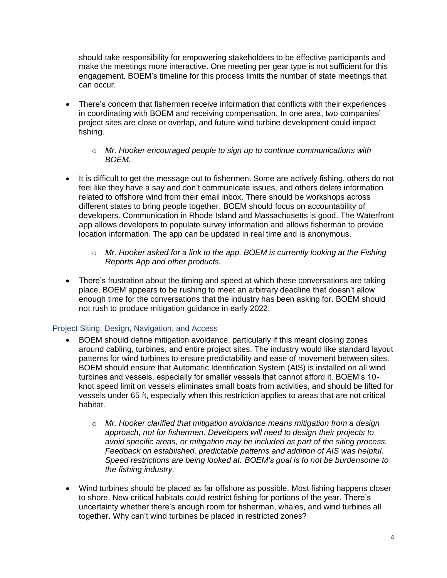should take responsibility for empowering stakeholders to be effective participants and make the meetings more interactive. One meeting per gear type is not sufficient for this engagement. BOEM's timeline for this process limits the number of state meetings that can occur.

- There's concern that fishermen receive information that conflicts with their experiences in coordinating with BOEM and receiving compensation. In one area, two companies' project sites are close or overlap, and future wind turbine development could impact fishing.
	- o *Mr. Hooker encouraged people to sign up to continue communications with BOEM.*
- It is difficult to get the message out to fishermen. Some are actively fishing, others do not feel like they have a say and don't communicate issues, and others delete information related to offshore wind from their email inbox. There should be workshops across different states to bring people together. BOEM should focus on accountability of developers. Communication in Rhode Island and Massachusetts is good. The Waterfront app allows developers to populate survey information and allows fisherman to provide location information. The app can be updated in real time and is anonymous.
	- o *Mr. Hooker asked for a link to the app. BOEM is currently looking at the Fishing Reports App and other products.*
- There's frustration about the timing and speed at which these conversations are taking place. BOEM appears to be rushing to meet an arbitrary deadline that doesn't allow enough time for the conversations that the industry has been asking for. BOEM should not rush to produce mitigation guidance in early 2022.

# Project Siting, Design, Navigation, and Access

- BOEM should define mitigation avoidance, particularly if this meant closing zones around cabling, turbines, and entire project sites. The industry would like standard layout patterns for wind turbines to ensure predictability and ease of movement between sites. BOEM should ensure that Automatic Identification System (AIS) is installed on all wind turbines and vessels, especially for smaller vessels that cannot afford it. BOEM's 10 knot speed limit on vessels eliminates small boats from activities, and should be lifted for vessels under 65 ft, especially when this restriction applies to areas that are not critical habitat.
	- o *Mr. Hooker clarified that mitigation avoidance means mitigation from a design approach, not for fishermen. Developers will need to design their projects to avoid specific areas, or mitigation may be included as part of the siting process. Feedback on established, predictable patterns and addition of AIS was helpful. Speed restrictions are being looked at. BOEM's goal is to not be burdensome to the fishing industry.*
- Wind turbines should be placed as far offshore as possible. Most fishing happens closer to shore. New critical habitats could restrict fishing for portions of the year. There's uncertainty whether there's enough room for fisherman, whales, and wind turbines all together. Why can't wind turbines be placed in restricted zones?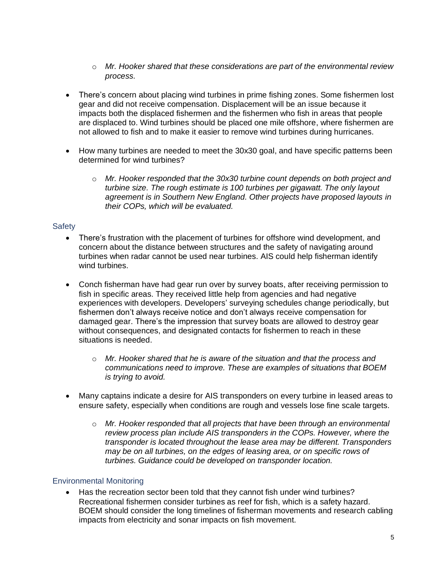- o *Mr. Hooker shared that these considerations are part of the environmental review process.*
- There's concern about placing wind turbines in prime fishing zones. Some fishermen lost gear and did not receive compensation. Displacement will be an issue because it impacts both the displaced fishermen and the fishermen who fish in areas that people are displaced to. Wind turbines should be placed one mile offshore, where fishermen are not allowed to fish and to make it easier to remove wind turbines during hurricanes.
- How many turbines are needed to meet the 30x30 goal, and have specific patterns been determined for wind turbines?
	- o *Mr. Hooker responded that the 30x30 turbine count depends on both project and turbine size. The rough estimate is 100 turbines per gigawatt. The only layout agreement is in Southern New England. Other projects have proposed layouts in their COPs, which will be evaluated.*

# **Safety**

- There's frustration with the placement of turbines for offshore wind development, and concern about the distance between structures and the safety of navigating around turbines when radar cannot be used near turbines. AIS could help fisherman identify wind turbines.
- Conch fisherman have had gear run over by survey boats, after receiving permission to fish in specific areas. They received little help from agencies and had negative experiences with developers. Developers' surveying schedules change periodically, but fishermen don't always receive notice and don't always receive compensation for damaged gear. There's the impression that survey boats are allowed to destroy gear without consequences, and designated contacts for fishermen to reach in these situations is needed.
	- o *Mr. Hooker shared that he is aware of the situation and that the process and communications need to improve. These are examples of situations that BOEM is trying to avoid.*
- Many captains indicate a desire for AIS transponders on every turbine in leased areas to ensure safety, especially when conditions are rough and vessels lose fine scale targets.
	- o *Mr. Hooker responded that all projects that have been through an environmental review process plan include AIS transponders in the COPs. However, where the transponder is located throughout the lease area may be different. Transponders may be on all turbines, on the edges of leasing area, or on specific rows of turbines. Guidance could be developed on transponder location.*

# Environmental Monitoring

• Has the recreation sector been told that they cannot fish under wind turbines? Recreational fishermen consider turbines as reef for fish, which is a safety hazard. BOEM should consider the long timelines of fisherman movements and research cabling impacts from electricity and sonar impacts on fish movement.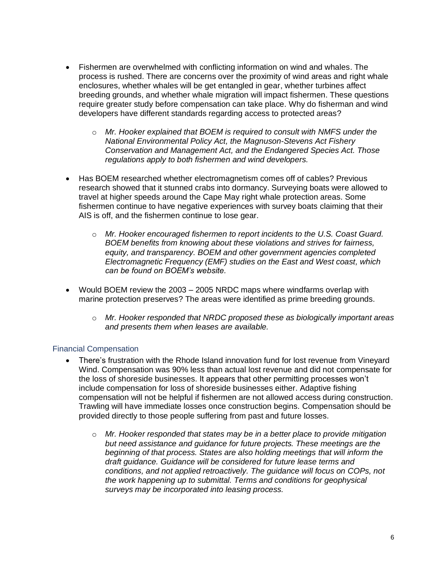- Fishermen are overwhelmed with conflicting information on wind and whales. The process is rushed. There are concerns over the proximity of wind areas and right whale enclosures, whether whales will be get entangled in gear, whether turbines affect breeding grounds, and whether whale migration will impact fishermen. These questions require greater study before compensation can take place. Why do fisherman and wind developers have different standards regarding access to protected areas?
	- o *Mr. Hooker explained that BOEM is required to consult with NMFS under the National Environmental Policy Act, the Magnuson-Stevens Act Fishery Conservation and Management Act, and the Endangered Species Act. Those regulations apply to both fishermen and wind developers.*
- Has BOEM researched whether electromagnetism comes off of cables? Previous research showed that it stunned crabs into dormancy. Surveying boats were allowed to travel at higher speeds around the Cape May right whale protection areas. Some fishermen continue to have negative experiences with survey boats claiming that their AIS is off, and the fishermen continue to lose gear.
	- o *Mr. Hooker encouraged fishermen to report incidents to the U.S. Coast Guard. BOEM benefits from knowing about these violations and strives for fairness, equity, and transparency. BOEM and other government agencies completed Electromagnetic Frequency (EMF) studies on the East and West coast, which can be found on BOEM's website.*
- Would BOEM review the 2003 2005 NRDC maps where windfarms overlap with marine protection preserves? The areas were identified as prime breeding grounds.
	- o *Mr. Hooker responded that NRDC proposed these as biologically important areas and presents them when leases are available.*

# Financial Compensation

- There's frustration with the Rhode Island innovation fund for lost revenue from Vineyard Wind. Compensation was 90% less than actual lost revenue and did not compensate for the loss of shoreside businesses. It appears that other permitting processes won't include compensation for loss of shoreside businesses either. Adaptive fishing compensation will not be helpful if fishermen are not allowed access during construction. Trawling will have immediate losses once construction begins. Compensation should be provided directly to those people suffering from past and future losses.
	- o *Mr. Hooker responded that states may be in a better place to provide mitigation but need assistance and guidance for future projects. These meetings are the beginning of that process. States are also holding meetings that will inform the draft guidance. Guidance will be considered for future lease terms and conditions, and not applied retroactively. The guidance will focus on COPs, not the work happening up to submittal. Terms and conditions for geophysical surveys may be incorporated into leasing process.*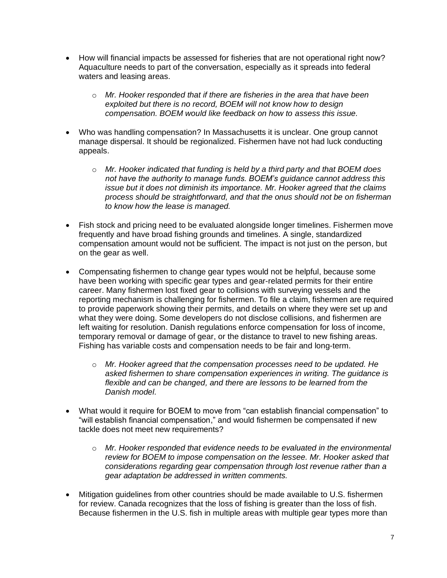- How will financial impacts be assessed for fisheries that are not operational right now? Aquaculture needs to part of the conversation, especially as it spreads into federal waters and leasing areas.
	- o *Mr. Hooker responded that if there are fisheries in the area that have been exploited but there is no record, BOEM will not know how to design compensation. BOEM would like feedback on how to assess this issue.*
- Who was handling compensation? In Massachusetts it is unclear. One group cannot manage dispersal. It should be regionalized. Fishermen have not had luck conducting appeals.
	- o *Mr. Hooker indicated that funding is held by a third party and that BOEM does not have the authority to manage funds. BOEM's guidance cannot address this issue but it does not diminish its importance. Mr. Hooker agreed that the claims process should be straightforward, and that the onus should not be on fisherman to know how the lease is managed.*
- Fish stock and pricing need to be evaluated alongside longer timelines. Fishermen move frequently and have broad fishing grounds and timelines. A single, standardized compensation amount would not be sufficient. The impact is not just on the person, but on the gear as well.
- Compensating fishermen to change gear types would not be helpful, because some have been working with specific gear types and gear-related permits for their entire career. Many fishermen lost fixed gear to collisions with surveying vessels and the reporting mechanism is challenging for fishermen. To file a claim, fishermen are required to provide paperwork showing their permits, and details on where they were set up and what they were doing. Some developers do not disclose collisions, and fishermen are left waiting for resolution. Danish regulations enforce compensation for loss of income, temporary removal or damage of gear, or the distance to travel to new fishing areas. Fishing has variable costs and compensation needs to be fair and long-term.
	- o *Mr. Hooker agreed that the compensation processes need to be updated. He asked fishermen to share compensation experiences in writing. The guidance is flexible and can be changed, and there are lessons to be learned from the Danish model.*
- What would it require for BOEM to move from "can establish financial compensation" to "will establish financial compensation," and would fishermen be compensated if new tackle does not meet new requirements?
	- o *Mr. Hooker responded that evidence needs to be evaluated in the environmental review for BOEM to impose compensation on the lessee. Mr. Hooker asked that considerations regarding gear compensation through lost revenue rather than a gear adaptation be addressed in written comments.*
- Mitigation guidelines from other countries should be made available to U.S. fishermen for review. Canada recognizes that the loss of fishing is greater than the loss of fish. Because fishermen in the U.S. fish in multiple areas with multiple gear types more than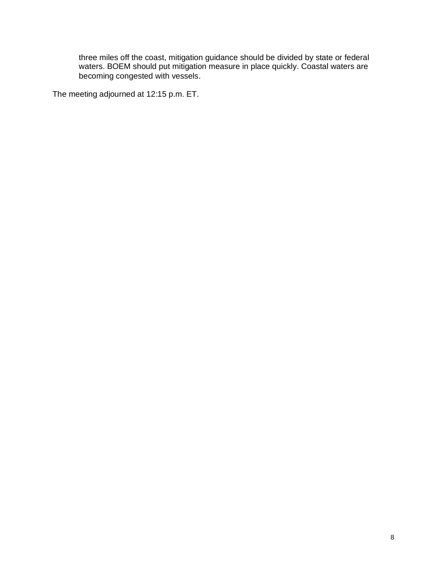three miles off the coast, mitigation guidance should be divided by state or federal waters. BOEM should put mitigation measure in place quickly. Coastal waters are becoming congested with vessels.

The meeting adjourned at 12:15 p.m. ET.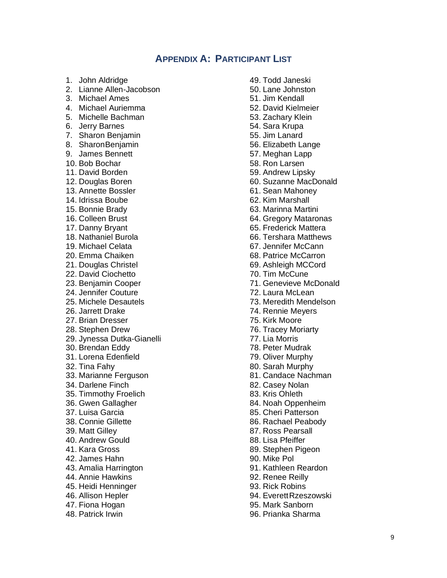# **APPENDIX A: PARTICIPANT LIST**

- 1. John Aldridge
- 2. Lianne Allen-Jacobson
- 3. Michael Ames
- 4. Michael Auriemma
- 5. Michelle Bachman
- 6. Jerry Barnes
- 7. Sharon Benjamin
- 8. SharonBenjamin
- 9. James Bennett
- 10. Bob Bochar
- 11. David Borden
- 12. Douglas Boren
- 13. Annette Bossler
- 14. Idrissa Boube
- 15. Bonnie Brady
- 16. Colleen Brust
- 17. Danny Bryant
- 18. Nathaniel Burola
- 19. Michael Celata
- 20. Emma Chaiken
- 21. Douglas Christel
- 22. David Ciochetto
- 23. Benjamin Cooper
- 24. Jennifer Couture
- 25. Michele Desautels
- 26. Jarrett Drake
- 27. Brian Dresser
- 28. Stephen Drew
- 29. Jynessa Dutka-Gianelli
- 30. Brendan Eddy
- 31. Lorena Edenfield
- 32. Tina Fahy
- 33. Marianne Ferguson
- 34. Darlene Finch
- 35. Timmothy Froelich
- 36. Gwen Gallagher
- 37. Luisa Garcia
- 38. Connie Gillette
- 39. Matt Gilley
- 40. Andrew Gould
- 41. Kara Gross
- 42. James Hahn
- 43. Amalia Harrington
- 44. Annie Hawkins
- 45. Heidi Henninger
- 46. Allison Hepler
- 47. Fiona Hogan
- 48. Patrick Irwin
- 49. Todd Janeski
- 50. Lane Johnston
- 51. Jim Kendall
- 52. David Kielmeier
- 53. Zachary Klein
- 54. Sara Krupa
- 55. Jim Lanard
- 56. Elizabeth Lange
- 57. Meghan Lapp
- 58. Ron Larsen
- 59. Andrew Lipsky
- 60. Suzanne MacDonald
- 61. Sean Mahoney
- 62. Kim Marshall
- 63. Marinna Martini
- 64. Gregory Mataronas
- 65. Frederick Mattera
- 66. Tershara Matthews
- 67. Jennifer McCann
- 68. Patrice McCarron
- 69. Ashleigh MCCord
- 70. Tim McCune
- 71. Genevieve McDonald
- 72. Laura McLean
- 73. Meredith Mendelson
- 74. Rennie Meyers
- 75. Kirk Moore
- 76. Tracey Moriarty
- 77. Lia Morris
- 78. Peter Mudrak
- 79. Oliver Murphy
- 80. Sarah Murphy
- 81. Candace Nachman
- 82. Casey Nolan
- 83. Kris Ohleth
- 84. Noah Oppenheim
- 85. Cheri Patterson
- 86. Rachael Peabody
- 87. Ross Pearsall
- 88. Lisa Pfeiffer
- 89. Stephen Pigeon
- 90. Mike Pol
- 91. Kathleen Reardon
- 92. Renee Reilly
- 93. Rick Robins
- 94. Everett Rzeszowski
- 95. Mark Sanborn
- 96. Prianka Sharma